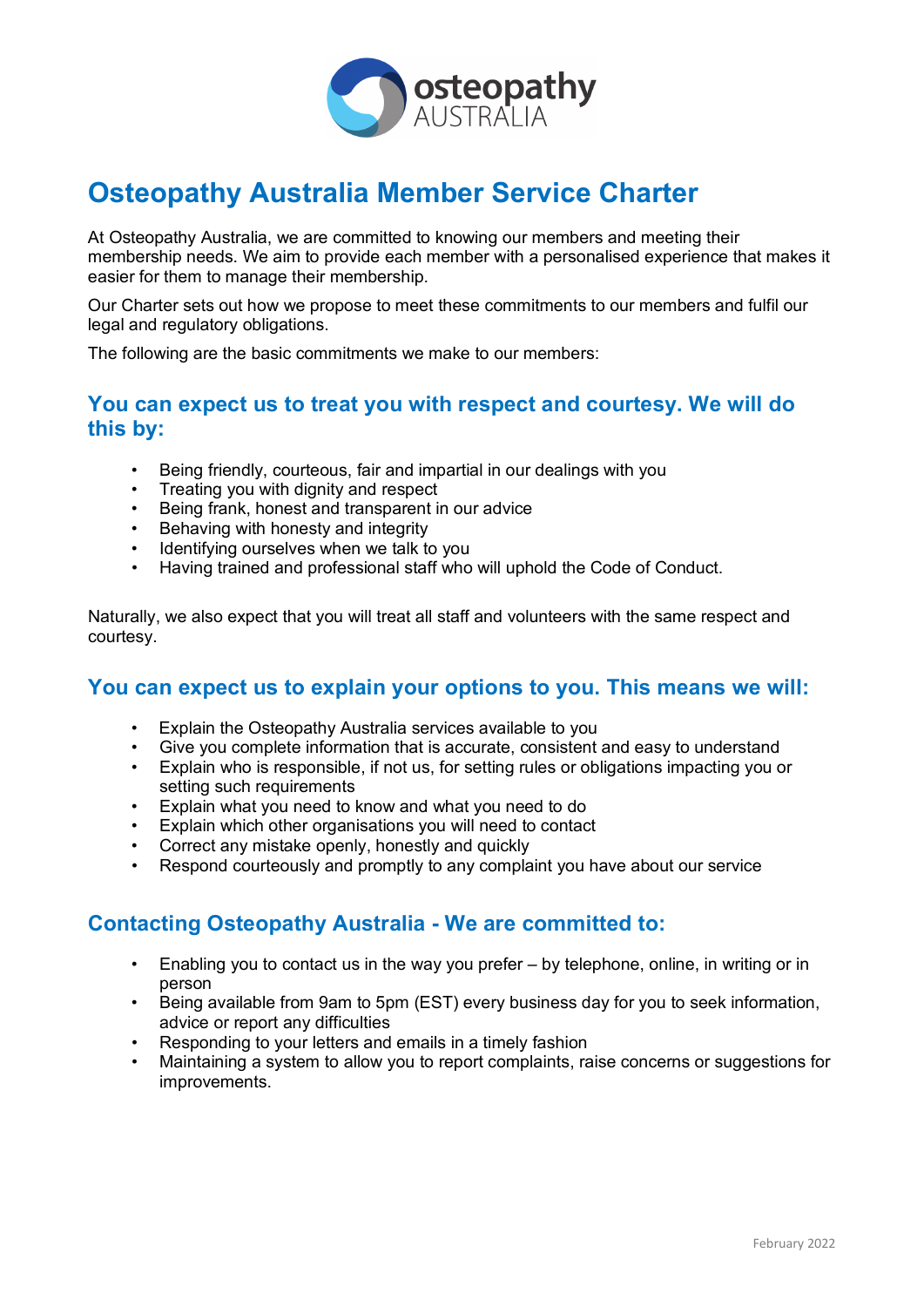

# **Osteopathy Australia Member Service Charter**

At Osteopathy Australia, we are committed to knowing our members and meeting their membership needs. We aim to provide each member with a personalised experience that makes it easier for them to manage their membership.

Our Charter sets out how we propose to meet these commitments to our members and fulfil our legal and regulatory obligations.

The following are the basic commitments we make to our members:

### **You can expect us to treat you with respect and courtesy. We will do this by:**

- Being friendly, courteous, fair and impartial in our dealings with you
- Treating you with dignity and respect
- Being frank, honest and transparent in our advice
- Behaving with honesty and integrity
- Identifying ourselves when we talk to you
- Having trained and professional staff who will uphold the Code of Conduct.

Naturally, we also expect that you will treat all staff and volunteers with the same respect and courtesy.

### **You can expect us to explain your options to you. This means we will:**

- Explain the Osteopathy Australia services available to you
- Give you complete information that is accurate, consistent and easy to understand
- Explain who is responsible, if not us, for setting rules or obligations impacting you or setting such requirements
- Explain what you need to know and what you need to do
- Explain which other organisations you will need to contact
- Correct any mistake openly, honestly and quickly
- Respond courteously and promptly to any complaint you have about our service

### **Contacting Osteopathy Australia - We are committed to:**

- Enabling you to contact us in the way you prefer by telephone, online, in writing or in person
- Being available from 9am to 5pm (EST) every business day for you to seek information, advice or report any difficulties
- Responding to your letters and emails in a timely fashion
- Maintaining a system to allow you to report complaints, raise concerns or suggestions for improvements.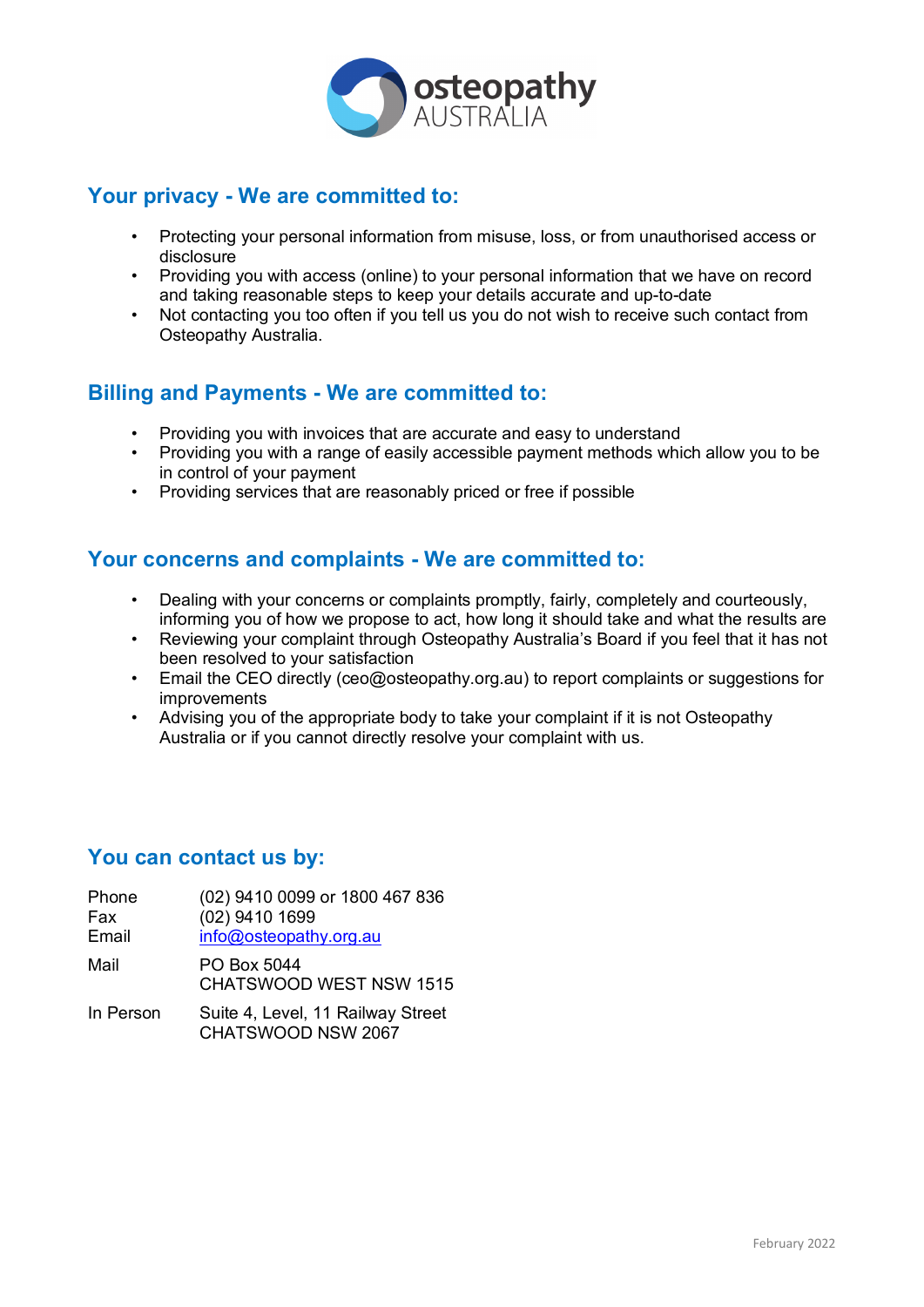

# **Your privacy - We are committed to:**

- Protecting your personal information from misuse, loss, or from unauthorised access or disclosure
- Providing you with access (online) to your personal information that we have on record and taking reasonable steps to keep your details accurate and up-to-date
- Not contacting you too often if you tell us you do not wish to receive such contact from Osteopathy Australia.

# **Billing and Payments - We are committed to:**

- Providing you with invoices that are accurate and easy to understand
- Providing you with a range of easily accessible payment methods which allow you to be in control of your payment
- Providing services that are reasonably priced or free if possible

# **Your concerns and complaints - We are committed to:**

- Dealing with your concerns or complaints promptly, fairly, completely and courteously, informing you of how we propose to act, how long it should take and what the results are
- Reviewing your complaint through Osteopathy Australia's Board if you feel that it has not been resolved to your satisfaction
- Email the CEO directly (ceo@osteopathy.org.au) to report complaints or suggestions for improvements
- Advising you of the appropriate body to take your complaint if it is not Osteopathy Australia or if you cannot directly resolve your complaint with us.

# **You can contact us by:**

| Phone<br>Fax<br>Email | (02) 9410 0099 or 1800 467 836<br>(02) 9410 1699<br>info@osteopathy.org.au |
|-----------------------|----------------------------------------------------------------------------|
| Mail                  | PO Box 5044<br><b>CHATSWOOD WEST NSW 1515</b>                              |
| In Person             | Suite 4, Level, 11 Railway Street                                          |

CHATSWOOD NSW 2067